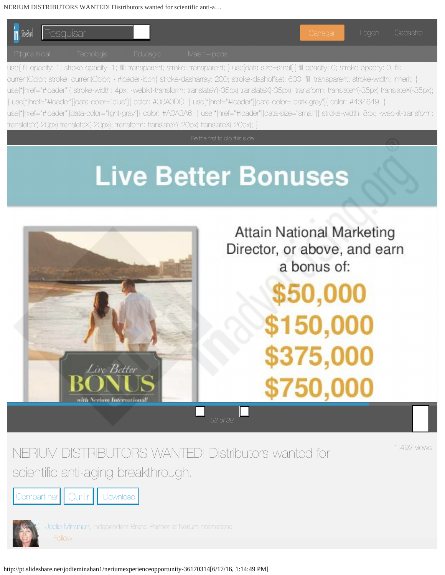<span id="page-0-0"></span>

NERIUM DISTRIBUTORS WANTED! Distributors wanted for scientific anti-aging breakthrough.

1,492 views

Compartilhar | Curtir | Download

[Jodie Minahan,](http://pt.slideshare.net/jodieminahan1?utm_campaign=profiletracking&utm_medium=sssite&utm_source=ssslideview) Independent Brand Partner at Nerium International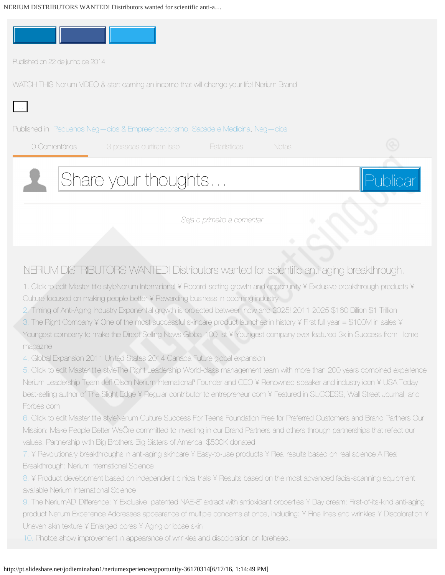

*Seja o primeiro a comentar*

## <span id="page-1-0"></span>NERIUM DISTRIBUTORS WANTED! Distributors wanted for scientifc anti-aging breakthrough.

1. Click to edit Master title styleNerium International ¥ Record-setting growth and opportunity ¥ Exclusive breakthrough products ¥ Culture focused on making people better ¥ Rewarding business in booming industry

[2.](http://image.slidesharecdn.com/neriumexperienceopportunity-140622165842-phpapp02/95/nerium-distributors-wanted-distributors-wanted-for-scientific-antiaging-breakthrough-2-638.jpg?cb=1403456656) Timing of Anti-Aging Industry Exponential growth is projected between now and 2025! 2011 2025 \$160 Billion \$1 Trillion

[3.](http://image.slidesharecdn.com/neriumexperienceopportunity-140622165842-phpapp02/95/nerium-distributors-wanted-distributors-wanted-for-scientific-antiaging-breakthrough-3-638.jpg?cb=1403456656) The Right Company ¥ One of the most successful skincare product launches in history ¥ First full year = \$100M in sales ¥ Youngest company to make the Direct Selling News Global 100 list ¥ Youngest company ever featured 3x in Success from Home magazine

[4.](http://image.slidesharecdn.com/neriumexperienceopportunity-140622165842-phpapp02/95/nerium-distributors-wanted-distributors-wanted-for-scientific-antiaging-breakthrough-4-638.jpg?cb=1403456656) Global Expansion 2011 United States 2014 Canada Future global expansion

[5.](http://image.slidesharecdn.com/neriumexperienceopportunity-140622165842-phpapp02/95/nerium-distributors-wanted-distributors-wanted-for-scientific-antiaging-breakthrough-5-638.jpg?cb=1403456656) Click to edit Master title styleThe Right Leadership World-class management team with more than 200 years combined experience Nerium Leadership Team Jeff Olson Nerium International<sup>a</sup> Founder and CEO ¥ Renowned speaker and industry icon ¥ USA Today best-selling author of The Slight Edge ¥ Regular contributor to entrepreneur.com ¥ Featured in SUCCESS, Wall Street Journal, and Forbes.com

[6.](http://image.slidesharecdn.com/neriumexperienceopportunity-140622165842-phpapp02/95/nerium-distributors-wanted-distributors-wanted-for-scientific-antiaging-breakthrough-6-638.jpg?cb=1403456656) Click to edit Master title styleNerium Culture Success For Teens Foundation Free for Preferred Customers and Brand Partners Our Mission: Make People Better WeÖre committed to investing in our Brand Partners and others through partnerships that reflect our values. Partnership with Big Brothers Big Sisters of America: \$500K donated

[7.](http://image.slidesharecdn.com/neriumexperienceopportunity-140622165842-phpapp02/95/nerium-distributors-wanted-distributors-wanted-for-scientific-antiaging-breakthrough-7-638.jpg?cb=1403456656) • Revolutionary breakthroughs in anti-aging skincare • Easy-to-use products • Real results based on real science A Real Breakthrough: Nerium International Science

[8.](http://image.slidesharecdn.com/neriumexperienceopportunity-140622165842-phpapp02/95/nerium-distributors-wanted-distributors-wanted-for-scientific-antiaging-breakthrough-8-638.jpg?cb=1403456656) ¥ Product development based on independent clinical trials ¥ Results based on the most advanced facial-scanning equipment available Nerium International Science

[9.](http://image.slidesharecdn.com/neriumexperienceopportunity-140622165842-phpapp02/95/nerium-distributors-wanted-distributors-wanted-for-scientific-antiaging-breakthrough-9-638.jpg?cb=1403456656) The NeriumAD" Difference: ¥ Exclusive, patented NAE-8" extract with antioxidant properties ¥ Day cream: First-of-its-kind anti-aging product Nerium Experience Addresses appearance of multiple concerns at once, including: ¥ Fine lines and wrinkles ¥ Discoloration ¥ Uneven skin texture ¥ Enlarged pores ¥ Aging or loose skin

[10.](http://image.slidesharecdn.com/neriumexperienceopportunity-140622165842-phpapp02/95/nerium-distributors-wanted-distributors-wanted-for-scientific-antiaging-breakthrough-10-638.jpg?cb=1403456656) Photos show improvement in appearance of wrinkles and discoloration on forehead.